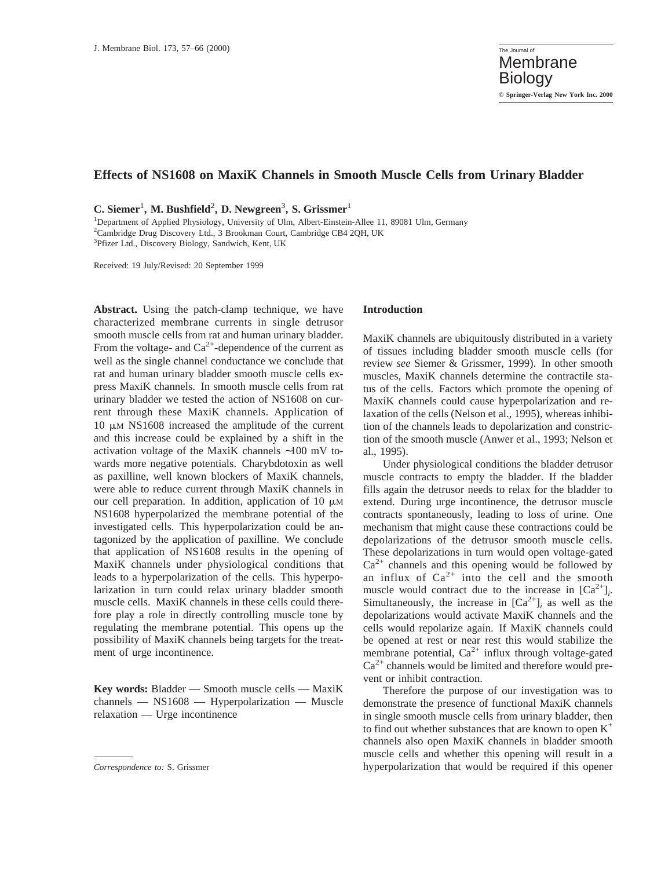# **Effects of NS1608 on MaxiK Channels in Smooth Muscle Cells from Urinary Bladder**

**C. Siemer**<sup>1</sup> **, M. Bushfield**<sup>2</sup> **, D. Newgreen**<sup>3</sup> **, S. Grissmer**<sup>1</sup>

<sup>1</sup>Department of Applied Physiology, University of Ulm, Albert-Einstein-Allee 11, 89081 Ulm, Germany 2 Cambridge Drug Discovery Ltd., 3 Brookman Court, Cambridge CB4 2QH, UK 3 Pfizer Ltd., Discovery Biology, Sandwich, Kent, UK

Received: 19 July/Revised: 20 September 1999

**Abstract.** Using the patch-clamp technique, we have characterized membrane currents in single detrusor smooth muscle cells from rat and human urinary bladder. From the voltage- and  $Ca^{2+}$ -dependence of the current as well as the single channel conductance we conclude that rat and human urinary bladder smooth muscle cells express MaxiK channels. In smooth muscle cells from rat urinary bladder we tested the action of NS1608 on current through these MaxiK channels. Application of  $10 \mu M$  NS1608 increased the amplitude of the current and this increase could be explained by a shift in the activation voltage of the MaxiK channels ∼100 mV towards more negative potentials. Charybdotoxin as well as paxilline, well known blockers of MaxiK channels, were able to reduce current through MaxiK channels in our cell preparation. In addition, application of 10  $\mu$ M NS1608 hyperpolarized the membrane potential of the investigated cells. This hyperpolarization could be antagonized by the application of paxilline. We conclude that application of NS1608 results in the opening of MaxiK channels under physiological conditions that leads to a hyperpolarization of the cells. This hyperpolarization in turn could relax urinary bladder smooth muscle cells. MaxiK channels in these cells could therefore play a role in directly controlling muscle tone by regulating the membrane potential. This opens up the possibility of MaxiK channels being targets for the treatment of urge incontinence.

**Key words:** Bladder — Smooth muscle cells — MaxiK channels — NS1608 — Hyperpolarization — Muscle relaxation — Urge incontinence

#### **Introduction**

MaxiK channels are ubiquitously distributed in a variety of tissues including bladder smooth muscle cells (for review *see* Siemer & Grissmer, 1999). In other smooth muscles, MaxiK channels determine the contractile status of the cells. Factors which promote the opening of MaxiK channels could cause hyperpolarization and relaxation of the cells (Nelson et al., 1995), whereas inhibition of the channels leads to depolarization and constriction of the smooth muscle (Anwer et al., 1993; Nelson et al., 1995).

Under physiological conditions the bladder detrusor muscle contracts to empty the bladder. If the bladder fills again the detrusor needs to relax for the bladder to extend. During urge incontinence, the detrusor muscle contracts spontaneously, leading to loss of urine. One mechanism that might cause these contractions could be depolarizations of the detrusor smooth muscle cells. These depolarizations in turn would open voltage-gated  $Ca^{2+}$  channels and this opening would be followed by an influx of  $Ca^{2+}$  into the cell and the smooth muscle would contract due to the increase in  $[Ca^{2+}]$ <sub>*i*</sub>. Simultaneously, the increase in  $[Ca^{2+}]$ *i* as well as the depolarizations would activate MaxiK channels and the cells would repolarize again. If MaxiK channels could be opened at rest or near rest this would stabilize the membrane potential,  $Ca^{2+}$  influx through voltage-gated  $Ca<sup>2+</sup>$  channels would be limited and therefore would prevent or inhibit contraction.

Therefore the purpose of our investigation was to demonstrate the presence of functional MaxiK channels in single smooth muscle cells from urinary bladder, then to find out whether substances that are known to open  $K^+$ channels also open MaxiK channels in bladder smooth muscle cells and whether this opening will result in a *Correspondence to:* S. Grissmer **hyperpolarization** that would be required if this opener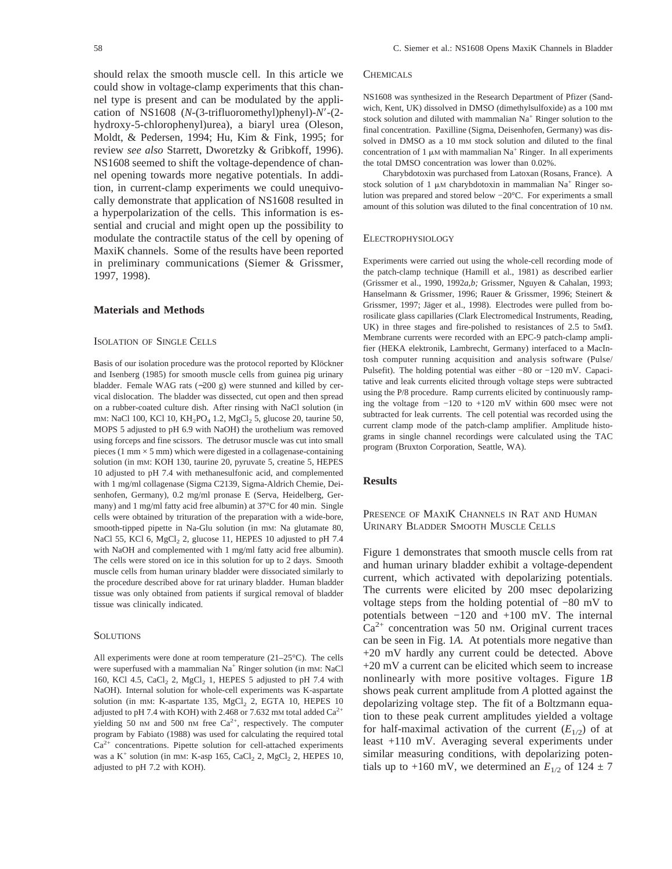should relax the smooth muscle cell. In this article we could show in voltage-clamp experiments that this channel type is present and can be modulated by the application of NS1608 (*N*-(3-trifluoromethyl)phenyl)-*N'*-(2hydroxy-5-chlorophenyl)urea), a biaryl urea (Oleson, Moldt, & Pedersen, 1994; Hu, Kim & Fink, 1995; for review *see also* Starrett, Dworetzky & Gribkoff, 1996). NS1608 seemed to shift the voltage-dependence of channel opening towards more negative potentials. In addition, in current-clamp experiments we could unequivocally demonstrate that application of NS1608 resulted in a hyperpolarization of the cells. This information is essential and crucial and might open up the possibility to modulate the contractile status of the cell by opening of MaxiK channels. Some of the results have been reported in preliminary communications (Siemer & Grissmer, 1997, 1998).

### **Materials and Methods**

### ISOLATION OF SINGLE CELLS

Basis of our isolation procedure was the protocol reported by Klöckner and Isenberg (1985) for smooth muscle cells from guinea pig urinary bladder. Female WAG rats (∼200 g) were stunned and killed by cervical dislocation. The bladder was dissected, cut open and then spread on a rubber-coated culture dish. After rinsing with NaCl solution (in mM: NaCl 100, KCl 10, KH<sub>2</sub>PO<sub>4</sub> 1.2, MgCl<sub>2</sub> 5, glucose 20, taurine 50, MOPS 5 adjusted to pH 6.9 with NaOH) the urothelium was removed using forceps and fine scissors. The detrusor muscle was cut into small pieces (1 mm  $\times$  5 mm) which were digested in a collagenase-containing solution (in mM: KOH 130, taurine 20, pyruvate 5, creatine 5, HEPES 10 adjusted to pH 7.4 with methanesulfonic acid, and complemented with 1 mg/ml collagenase (Sigma C2139, Sigma-Aldrich Chemie, Deisenhofen, Germany), 0.2 mg/ml pronase E (Serva, Heidelberg, Germany) and 1 mg/ml fatty acid free albumin) at 37°C for 40 min. Single cells were obtained by trituration of the preparation with a wide-bore, smooth-tipped pipette in Na-Glu solution (in mM: Na glutamate 80, NaCl 55, KCl 6,  $MgCl<sub>2</sub>$  2, glucose 11, HEPES 10 adjusted to pH 7.4 with NaOH and complemented with 1 mg/ml fatty acid free albumin). The cells were stored on ice in this solution for up to 2 days. Smooth muscle cells from human urinary bladder were dissociated similarly to the procedure described above for rat urinary bladder. Human bladder tissue was only obtained from patients if surgical removal of bladder tissue was clinically indicated.

#### **SOLUTIONS**

All experiments were done at room temperature (21–25°C). The cells were superfused with a mammalian Na<sup>+</sup> Ringer solution (in mM: NaCl 160, KCl 4.5, CaCl<sub>2</sub> 2, MgCl<sub>2</sub> 1, HEPES 5 adjusted to pH 7.4 with NaOH). Internal solution for whole-cell experiments was K-aspartate solution (in mM: K-aspartate 135,  $MgCl<sub>2</sub>$  2, EGTA 10, HEPES 10 adjusted to pH 7.4 with KOH) with 2.468 or 7.632 mM total added  $Ca^{2+}$ yielding 50 nM and 500 nM free  $Ca^{2+}$ , respectively. The computer program by Fabiato (1988) was used for calculating the required total  $Ca<sup>2+</sup>$  concentrations. Pipette solution for cell-attached experiments was a  $K^+$  solution (in mm: K-asp 165, CaCl<sub>2</sub> 2, MgCl<sub>2</sub> 2, HEPES 10, adjusted to pH 7.2 with KOH).

#### **CHEMICALS**

NS1608 was synthesized in the Research Department of Pfizer (Sandwich, Kent, UK) dissolved in DMSO (dimethylsulfoxide) as a 100 mM stock solution and diluted with mammalian  $Na<sup>+</sup>$  Ringer solution to the final concentration. Paxilline (Sigma, Deisenhofen, Germany) was dissolved in DMSO as a 10 mM stock solution and diluted to the final concentration of 1  $\mu$ M with mammalian Na<sup>+</sup> Ringer. In all experiments the total DMSO concentration was lower than 0.02%.

Charybdotoxin was purchased from Latoxan (Rosans, France). A stock solution of 1  $\mu$ M charybdotoxin in mammalian Na<sup>+</sup> Ringer solution was prepared and stored below −20°C. For experiments a small amount of this solution was diluted to the final concentration of 10 nM.

### ELECTROPHYSIOLOGY

Experiments were carried out using the whole-cell recording mode of the patch-clamp technique (Hamill et al., 1981) as described earlier (Grissmer et al., 1990, 1992*a,b;* Grissmer, Nguyen & Cahalan, 1993; Hanselmann & Grissmer, 1996; Rauer & Grissmer, 1996; Steinert & Grissmer, 1997; Jäger et al., 1998). Electrodes were pulled from borosilicate glass capillaries (Clark Electromedical Instruments, Reading, UK) in three stages and fire-polished to resistances of 2.5 to  $5M\Omega$ . Membrane currents were recorded with an EPC-9 patch-clamp amplifier (HEKA elektronik, Lambrecht, Germany) interfaced to a MacIntosh computer running acquisition and analysis software (Pulse/ Pulsefit). The holding potential was either −80 or −120 mV. Capacitative and leak currents elicited through voltage steps were subtracted using the P/8 procedure. Ramp currents elicited by continuously ramping the voltage from −120 to +120 mV within 600 msec were not subtracted for leak currents. The cell potential was recorded using the current clamp mode of the patch-clamp amplifier. Amplitude histograms in single channel recordings were calculated using the TAC program (Bruxton Corporation, Seattle, WA).

## **Results**

## PRESENCE OF MAXIK CHANNELS IN RAT AND HUMAN URINARY BLADDER SMOOTH MUSCLE CELLS

Figure 1 demonstrates that smooth muscle cells from rat and human urinary bladder exhibit a voltage-dependent current, which activated with depolarizing potentials. The currents were elicited by 200 msec depolarizing voltage steps from the holding potential of −80 mV to potentials between −120 and +100 mV. The internal  $Ca<sup>2+</sup>$  concentration was 50 nm. Original current traces can be seen in Fig. 1*A.* At potentials more negative than +20 mV hardly any current could be detected. Above +20 mV a current can be elicited which seem to increase nonlinearly with more positive voltages. Figure 1*B* shows peak current amplitude from *A* plotted against the depolarizing voltage step. The fit of a Boltzmann equation to these peak current amplitudes yielded a voltage for half-maximal activation of the current  $(E_{1/2})$  of at least +110 mV. Averaging several experiments under similar measuring conditions, with depolarizing potentials up to +160 mV, we determined an  $E_{1/2}$  of 124  $\pm$  7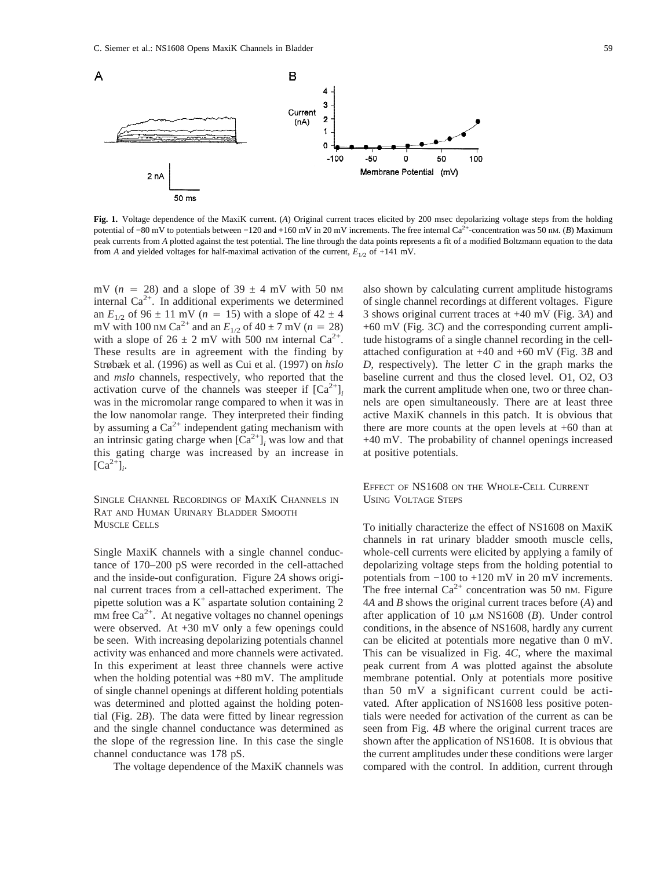

Fig. 1. Voltage dependence of the MaxiK current. (*A*) Original current traces elicited by 200 msec depolarizing voltage steps from the holding potential of −80 mV to potentials between −120 and +160 mV in 20 mV increments. The free internal Ca<sup>2+</sup>-concentration was 50 nM. (*B*) Maximum peak currents from *A* plotted against the test potential. The line through the data points represents a fit of a modified Boltzmann equation to the data from *A* and yielded voltages for half-maximal activation of the current,  $E_{1/2}$  of +141 mV.

mV ( $n = 28$ ) and a slope of 39  $\pm$  4 mV with 50 nm internal  $Ca^{2+}$ . In additional experiments we determined an  $E_{1/2}$  of 96  $\pm$  11 mV (*n* = 15) with a slope of 42  $\pm$  4 mV with 100 nm Ca<sup>2+</sup> and an  $E_{1/2}$  of 40 ± 7 mV (*n* = 28) with a slope of  $26 \pm 2$  mV with 500 nM internal  $Ca^{2+}$ . These results are in agreement with the finding by Strøbæk et al. (1996) as well as Cui et al. (1997) on *hslo* and *mslo* channels, respectively, who reported that the activation curve of the channels was steeper if  $[Ca^{2+}]$ *i* was in the micromolar range compared to when it was in the low nanomolar range. They interpreted their finding by assuming a  $Ca^{2+}$  independent gating mechanism with an intrinsic gating charge when  $[Ca^{2+}]$ <sub>*i*</sub> was low and that this gating charge was increased by an increase in  $\left[\text{Ca}^{2+}\right]_i$ .

SINGLE CHANNEL RECORDINGS OF MAXIK CHANNELS IN RAT AND HUMAN URINARY BLADDER SMOOTH MUSCLE CELLS

Single MaxiK channels with a single channel conductance of 170–200 pS were recorded in the cell-attached and the inside-out configuration. Figure 2*A* shows original current traces from a cell-attached experiment. The pipette solution was a  $K^+$  aspartate solution containing 2 mM free  $Ca^{2+}$ . At negative voltages no channel openings were observed. At +30 mV only a few openings could be seen. With increasing depolarizing potentials channel activity was enhanced and more channels were activated. In this experiment at least three channels were active when the holding potential was  $+80$  mV. The amplitude of single channel openings at different holding potentials was determined and plotted against the holding potential (Fig. 2*B*). The data were fitted by linear regression and the single channel conductance was determined as the slope of the regression line. In this case the single channel conductance was 178 pS.

The voltage dependence of the MaxiK channels was

also shown by calculating current amplitude histograms of single channel recordings at different voltages. Figure 3 shows original current traces at +40 mV (Fig. 3*A*) and +60 mV (Fig. 3*C*) and the corresponding current amplitude histograms of a single channel recording in the cellattached configuration at +40 and +60 mV (Fig. 3*B* and *D,* respectively). The letter *C* in the graph marks the baseline current and thus the closed level. O1, O2, O3 mark the current amplitude when one, two or three channels are open simultaneously. There are at least three active MaxiK channels in this patch. It is obvious that there are more counts at the open levels at  $+60$  than at +40 mV. The probability of channel openings increased at positive potentials.

EFFECT OF NS1608 ON THE WHOLE-CELL CURRENT USING VOLTAGE STEPS

To initially characterize the effect of NS1608 on MaxiK channels in rat urinary bladder smooth muscle cells, whole-cell currents were elicited by applying a family of depolarizing voltage steps from the holding potential to potentials from −100 to +120 mV in 20 mV increments. The free internal  $Ca^{2+}$  concentration was 50 nm. Figure 4*A* and *B* shows the original current traces before (*A*) and after application of 10  $\mu$ M NS1608 (*B*). Under control conditions, in the absence of NS1608, hardly any current can be elicited at potentials more negative than 0 mV. This can be visualized in Fig. 4*C,* where the maximal peak current from *A* was plotted against the absolute membrane potential. Only at potentials more positive than 50 mV a significant current could be activated. After application of NS1608 less positive potentials were needed for activation of the current as can be seen from Fig. 4*B* where the original current traces are shown after the application of NS1608. It is obvious that the current amplitudes under these conditions were larger compared with the control. In addition, current through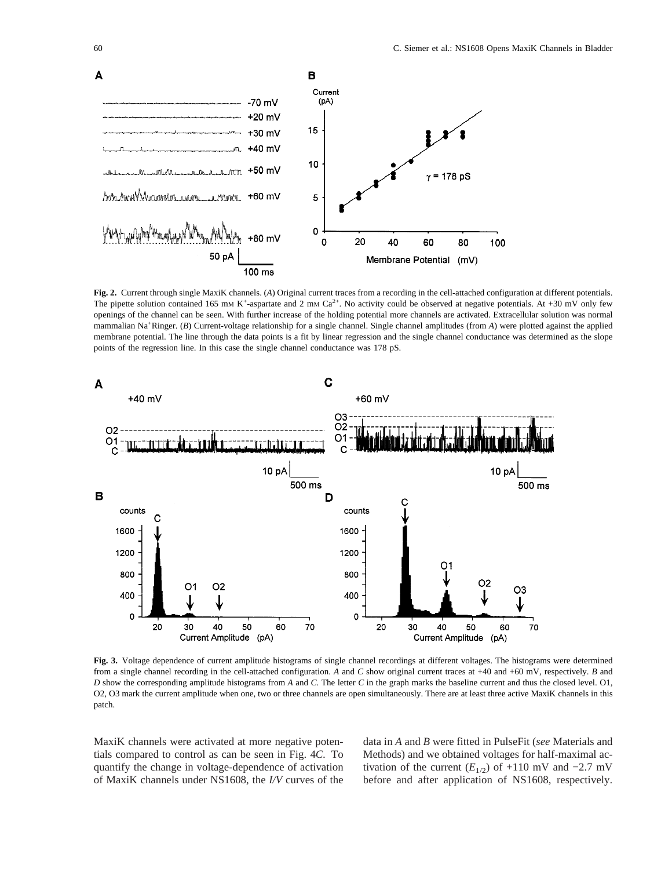

**Fig. 2.** Current through single MaxiK channels. (*A*) Original current traces from a recording in the cell-attached configuration at different potentials. The pipette solution contained 165 mm K<sup>+</sup>-aspartate and 2 mm Ca<sup>2+</sup>. No activity could be observed at negative potentials. At +30 mV only few openings of the channel can be seen. With further increase of the holding potential more channels are activated. Extracellular solution was normal mammalian Na<sup>+</sup>Ringer. (B) Current-voltage relationship for a single channel. Single channel amplitudes (from *A*) were plotted against the applied membrane potential. The line through the data points is a fit by linear regression and the single channel conductance was determined as the slope points of the regression line. In this case the single channel conductance was 178 pS.



**Fig. 3.** Voltage dependence of current amplitude histograms of single channel recordings at different voltages. The histograms were determined from a single channel recording in the cell-attached configuration. *A* and *C* show original current traces at +40 and +60 mV, respectively. *B* and *D* show the corresponding amplitude histograms from *A* and *C.* The letter *C* in the graph marks the baseline current and thus the closed level. O1, O2, O3 mark the current amplitude when one, two or three channels are open simultaneously. There are at least three active MaxiK channels in this patch.

MaxiK channels were activated at more negative potentials compared to control as can be seen in Fig. 4*C.* To quantify the change in voltage-dependence of activation of MaxiK channels under NS1608, the *I/V* curves of the data in *A* and *B* were fitted in PulseFit (*see* Materials and Methods) and we obtained voltages for half-maximal activation of the current  $(E_{1/2})$  of +110 mV and −2.7 mV before and after application of NS1608, respectively.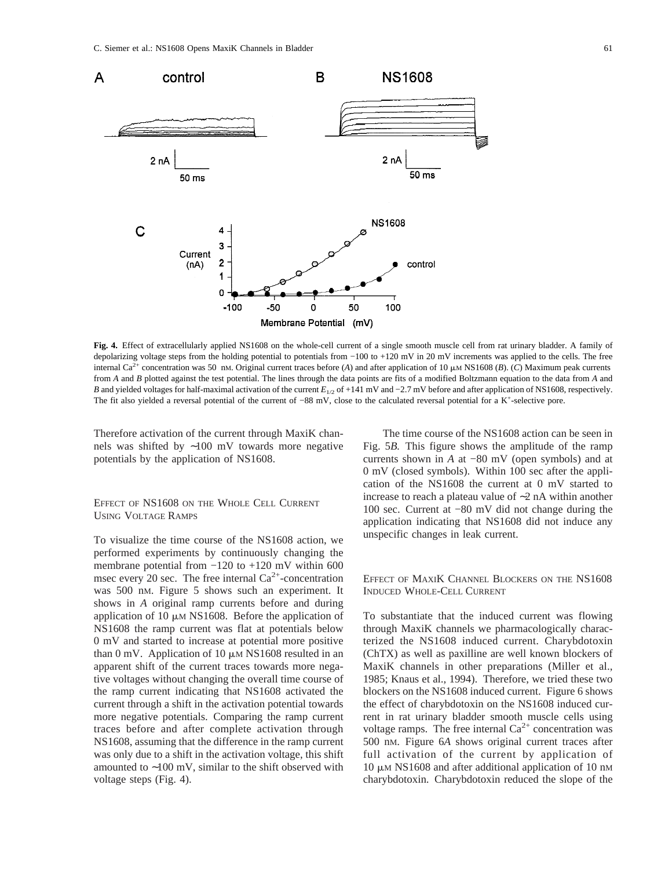

**Fig. 4.** Effect of extracellularly applied NS1608 on the whole-cell current of a single smooth muscle cell from rat urinary bladder. A family of depolarizing voltage steps from the holding potential to potentials from −100 to +120 mV in 20 mV increments was applied to the cells. The free internal Ca<sup>2+</sup> concentration was 50 nm. Original current traces before (*A*) and after application of 10  $\mu$ m NS1608 (*B*). (*C*) Maximum peak currents from *A* and *B* plotted against the test potential. The lines through the data points are fits of a modified Boltzmann equation to the data from *A* and *B* and yielded voltages for half-maximal activation of the current *E*<sub>1/2</sub> of +141 mV and −2.7 mV before and after application of NS1608, respectively. The fit also yielded a reversal potential of the current of −88 mV, close to the calculated reversal potential for a K<sup>+</sup>-selective pore.

Therefore activation of the current through MaxiK channels was shifted by ∼100 mV towards more negative potentials by the application of NS1608.

## EFFECT OF NS1608 ON THE WHOLE CELL CURRENT USING VOLTAGE RAMPS

To visualize the time course of the NS1608 action, we performed experiments by continuously changing the membrane potential from −120 to +120 mV within 600 msec every 20 sec. The free internal  $Ca^{2+}$ -concentration was 500 nM. Figure 5 shows such an experiment. It shows in *A* original ramp currents before and during application of 10  $\mu$ M NS1608. Before the application of NS1608 the ramp current was flat at potentials below 0 mV and started to increase at potential more positive than 0 mV. Application of 10  $\mu$ M NS1608 resulted in an apparent shift of the current traces towards more negative voltages without changing the overall time course of the ramp current indicating that NS1608 activated the current through a shift in the activation potential towards more negative potentials. Comparing the ramp current traces before and after complete activation through NS1608, assuming that the difference in the ramp current was only due to a shift in the activation voltage, this shift amounted to ∼100 mV, similar to the shift observed with voltage steps (Fig. 4).

The time course of the NS1608 action can be seen in Fig. 5*B.* This figure shows the amplitude of the ramp currents shown in *A* at −80 mV (open symbols) and at 0 mV (closed symbols). Within 100 sec after the application of the NS1608 the current at 0 mV started to increase to reach a plateau value of ∼2 nA within another 100 sec. Current at −80 mV did not change during the application indicating that NS1608 did not induce any unspecific changes in leak current.

## EFFECT OF MAXIK CHANNEL BLOCKERS ON THE NS1608 INDUCED WHOLE-CELL CURRENT

To substantiate that the induced current was flowing through MaxiK channels we pharmacologically characterized the NS1608 induced current. Charybdotoxin (ChTX) as well as paxilline are well known blockers of MaxiK channels in other preparations (Miller et al., 1985; Knaus et al., 1994). Therefore, we tried these two blockers on the NS1608 induced current. Figure 6 shows the effect of charybdotoxin on the NS1608 induced current in rat urinary bladder smooth muscle cells using voltage ramps. The free internal  $Ca^{2+}$  concentration was 500 nM. Figure 6*A* shows original current traces after full activation of the current by application of  $10 \mu M$  NS1608 and after additional application of 10 nM charybdotoxin. Charybdotoxin reduced the slope of the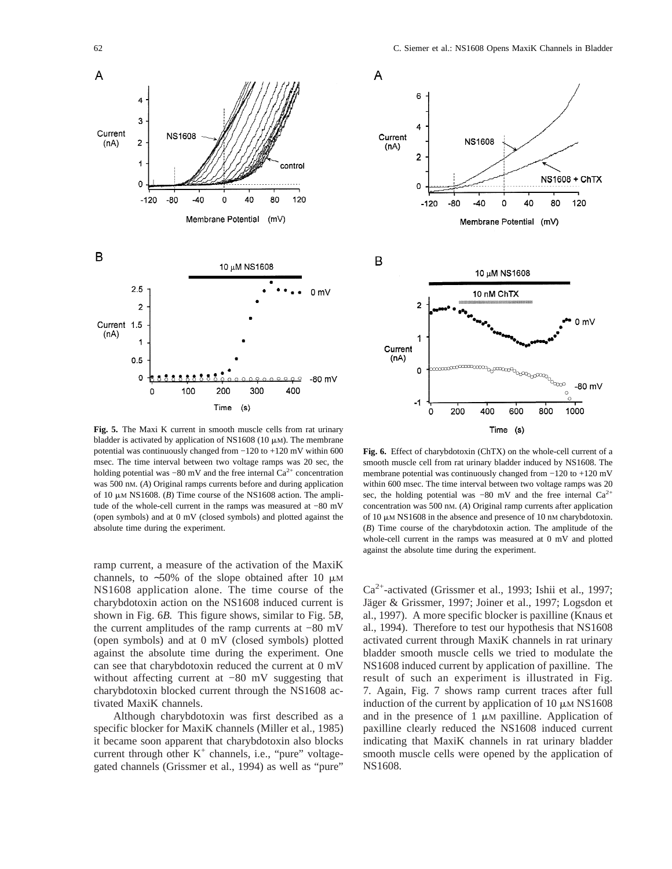

**Fig. 5.** The Maxi K current in smooth muscle cells from rat urinary bladder is activated by application of NS1608 (10  $\mu$ M). The membrane potential was continuously changed from −120 to +120 mV within 600 msec. The time interval between two voltage ramps was 20 sec, the holding potential was  $-80$  mV and the free internal  $Ca^{2+}$  concentration was 500 nM. (*A*) Original ramps currents before and during application of 10  $\mu$ M NS1608. (*B*) Time course of the NS1608 action. The amplitude of the whole-cell current in the ramps was measured at −80 mV (open symbols) and at 0 mV (closed symbols) and plotted against the absolute time during the experiment.

ramp current, a measure of the activation of the MaxiK channels, to ~50% of the slope obtained after 10  $\mu$ M NS1608 application alone. The time course of the charybdotoxin action on the NS1608 induced current is shown in Fig. 6*B.* This figure shows, similar to Fig. 5*B,* the current amplitudes of the ramp currents at −80 mV (open symbols) and at 0 mV (closed symbols) plotted against the absolute time during the experiment. One can see that charybdotoxin reduced the current at 0 mV without affecting current at −80 mV suggesting that charybdotoxin blocked current through the NS1608 activated MaxiK channels.

Although charybdotoxin was first described as a specific blocker for MaxiK channels (Miller et al., 1985) it became soon apparent that charybdotoxin also blocks current through other  $K^+$  channels, i.e., "pure" voltagegated channels (Grissmer et al., 1994) as well as "pure"



**Fig. 6.** Effect of charybdotoxin (ChTX) on the whole-cell current of a smooth muscle cell from rat urinary bladder induced by NS1608. The membrane potential was continuously changed from −120 to +120 mV within 600 msec. The time interval between two voltage ramps was 20 sec, the holding potential was −80 mV and the free internal Ca<sup>2+</sup> concentration was 500 nM. (*A*) Original ramp currents after application of  $10 \mu$ M NS1608 in the absence and presence of  $10 \text{ nm}$  charybdotoxin. (*B*) Time course of the charybdotoxin action. The amplitude of the whole-cell current in the ramps was measured at 0 mV and plotted against the absolute time during the experiment.

 $Ca^{2+}$ -activated (Grissmer et al., 1993; Ishii et al., 1997; Jäger & Grissmer, 1997; Joiner et al., 1997; Logsdon et al., 1997). A more specific blocker is paxilline (Knaus et al., 1994). Therefore to test our hypothesis that NS1608 activated current through MaxiK channels in rat urinary bladder smooth muscle cells we tried to modulate the NS1608 induced current by application of paxilline. The result of such an experiment is illustrated in Fig. 7. Again, Fig. 7 shows ramp current traces after full induction of the current by application of  $10 \mu M N S1608$ and in the presence of  $1 \mu M$  paxilline. Application of paxilline clearly reduced the NS1608 induced current indicating that MaxiK channels in rat urinary bladder smooth muscle cells were opened by the application of NS1608.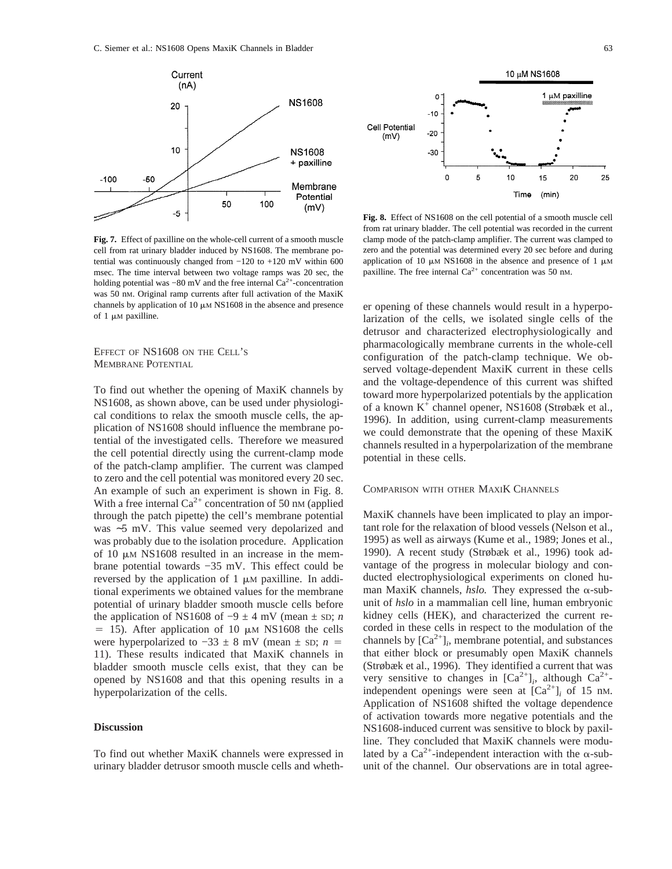

**Fig. 7.** Effect of paxilline on the whole-cell current of a smooth muscle cell from rat urinary bladder induced by NS1608. The membrane potential was continuously changed from −120 to +120 mV within 600 msec. The time interval between two voltage ramps was 20 sec, the holding potential was  $-80$  mV and the free internal Ca<sup>2+</sup>-concentration was 50 nM. Original ramp currents after full activation of the MaxiK channels by application of 10  $\mu$ M NS1608 in the absence and presence of  $1 \mu M$  paxilline.

EFFECT OF NS1608 ON THE CELL'S MEMBRANE POTENTIAL

To find out whether the opening of MaxiK channels by NS1608, as shown above, can be used under physiological conditions to relax the smooth muscle cells, the application of NS1608 should influence the membrane potential of the investigated cells. Therefore we measured the cell potential directly using the current-clamp mode of the patch-clamp amplifier. The current was clamped to zero and the cell potential was monitored every 20 sec. An example of such an experiment is shown in Fig. 8. With a free internal  $Ca^{2+}$  concentration of 50 nm (applied through the patch pipette) the cell's membrane potential was ∼5 mV. This value seemed very depolarized and was probably due to the isolation procedure. Application of 10  $\mu$ M NS1608 resulted in an increase in the membrane potential towards −35 mV. This effect could be reversed by the application of  $1 \mu M$  paxilline. In additional experiments we obtained values for the membrane potential of urinary bladder smooth muscle cells before the application of NS1608 of  $-9 \pm 4$  mV (mean  $\pm$  sp; *n*  $=$  15). After application of 10  $\mu$ M NS1608 the cells were hyperpolarized to  $-33 \pm 8$  mV (mean  $\pm$  sp; *n* = 11). These results indicated that MaxiK channels in bladder smooth muscle cells exist, that they can be opened by NS1608 and that this opening results in a hyperpolarization of the cells.

## **Discussion**

To find out whether MaxiK channels were expressed in urinary bladder detrusor smooth muscle cells and wheth-



**Fig. 8.** Effect of NS1608 on the cell potential of a smooth muscle cell from rat urinary bladder. The cell potential was recorded in the current clamp mode of the patch-clamp amplifier. The current was clamped to zero and the potential was determined every 20 sec before and during application of 10  $\mu$ M NS1608 in the absence and presence of 1  $\mu$ M paxilline. The free internal  $Ca^{2+}$  concentration was 50 nm.

er opening of these channels would result in a hyperpolarization of the cells, we isolated single cells of the detrusor and characterized electrophysiologically and pharmacologically membrane currents in the whole-cell configuration of the patch-clamp technique. We observed voltage-dependent MaxiK current in these cells and the voltage-dependence of this current was shifted toward more hyperpolarized potentials by the application of a known K+ channel opener, NS1608 (Strøbæk et al., 1996). In addition, using current-clamp measurements we could demonstrate that the opening of these MaxiK channels resulted in a hyperpolarization of the membrane potential in these cells.

### COMPARISON WITH OTHER MAXIK CHANNELS

MaxiK channels have been implicated to play an important role for the relaxation of blood vessels (Nelson et al., 1995) as well as airways (Kume et al., 1989; Jones et al., 1990). A recent study (Strøbæk et al., 1996) took advantage of the progress in molecular biology and conducted electrophysiological experiments on cloned human MaxiK channels,  $hslo$ . They expressed the  $\alpha$ -subunit of *hslo* in a mammalian cell line, human embryonic kidney cells (HEK), and characterized the current recorded in these cells in respect to the modulation of the channels by  $[Ca^{2+}]_i$ , membrane potential, and substances that either block or presumably open MaxiK channels (Strøbæk et al., 1996). They identified a current that was very sensitive to changes in  $[Ca^{2+}]_i$ , although  $Ca^{2+}$ independent openings were seen at  $[Ca^{2+}]$ *i* of 15 nm. Application of NS1608 shifted the voltage dependence of activation towards more negative potentials and the NS1608-induced current was sensitive to block by paxilline. They concluded that MaxiK channels were modulated by a  $Ca^{2+}$ -independent interaction with the  $\alpha$ -subunit of the channel. Our observations are in total agree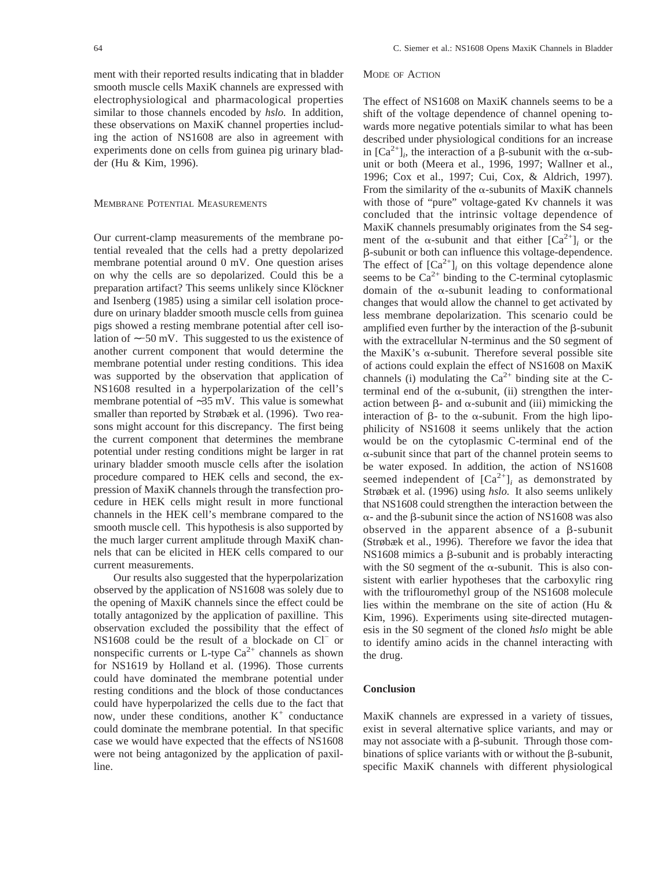ment with their reported results indicating that in bladder smooth muscle cells MaxiK channels are expressed with electrophysiological and pharmacological properties similar to those channels encoded by *hslo.* In addition, these observations on MaxiK channel properties including the action of NS1608 are also in agreement with experiments done on cells from guinea pig urinary bladder (Hu & Kim, 1996).

### MEMBRANE POTENTIAL MEASUREMENTS

Our current-clamp measurements of the membrane potential revealed that the cells had a pretty depolarized membrane potential around 0 mV. One question arises on why the cells are so depolarized. Could this be a preparation artifact? This seems unlikely since Klöckner and Isenberg (1985) using a similar cell isolation procedure on urinary bladder smooth muscle cells from guinea pigs showed a resting membrane potential after cell isolation of ∼−50 mV. This suggested to us the existence of another current component that would determine the membrane potential under resting conditions. This idea was supported by the observation that application of NS1608 resulted in a hyperpolarization of the cell's membrane potential of ∼35 mV. This value is somewhat smaller than reported by Strøbæk et al. (1996). Two reasons might account for this discrepancy. The first being the current component that determines the membrane potential under resting conditions might be larger in rat urinary bladder smooth muscle cells after the isolation procedure compared to HEK cells and second, the expression of MaxiK channels through the transfection procedure in HEK cells might result in more functional channels in the HEK cell's membrane compared to the smooth muscle cell. This hypothesis is also supported by the much larger current amplitude through MaxiK channels that can be elicited in HEK cells compared to our current measurements.

Our results also suggested that the hyperpolarization observed by the application of NS1608 was solely due to the opening of MaxiK channels since the effect could be totally antagonized by the application of paxilline. This observation excluded the possibility that the effect of NS1608 could be the result of a blockade on Cl− or nonspecific currents or L-type  $Ca^{2+}$  channels as shown for NS1619 by Holland et al. (1996). Those currents could have dominated the membrane potential under resting conditions and the block of those conductances could have hyperpolarized the cells due to the fact that now, under these conditions, another  $K^+$  conductance could dominate the membrane potential. In that specific case we would have expected that the effects of NS1608 were not being antagonized by the application of paxilline.

## MODE OF ACTION

The effect of NS1608 on MaxiK channels seems to be a shift of the voltage dependence of channel opening towards more negative potentials similar to what has been described under physiological conditions for an increase in  $[Ca^{2+}]$ <sub>i</sub>, the interaction of a  $\beta$ -subunit with the  $\alpha$ -subunit or both (Meera et al., 1996, 1997; Wallner et al., 1996; Cox et al., 1997; Cui, Cox, & Aldrich, 1997). From the similarity of the  $\alpha$ -subunits of MaxiK channels with those of "pure" voltage-gated Kv channels it was concluded that the intrinsic voltage dependence of MaxiK channels presumably originates from the S4 segment of the  $\alpha$ -subunit and that either  $[Ca^{2+}]$ *i* or the b-subunit or both can influence this voltage-dependence. The effect of  $[Ca^{2+}]$ *i* on this voltage dependence alone seems to be  $Ca^{2+}$  binding to the C-terminal cytoplasmic domain of the  $\alpha$ -subunit leading to conformational changes that would allow the channel to get activated by less membrane depolarization. This scenario could be amplified even further by the interaction of the  $\beta$ -subunit with the extracellular N-terminus and the S0 segment of the MaxiK's  $\alpha$ -subunit. Therefore several possible site of actions could explain the effect of NS1608 on MaxiK channels (i) modulating the  $Ca^{2+}$  binding site at the Cterminal end of the  $\alpha$ -subunit, (ii) strengthen the interaction between  $\beta$ - and  $\alpha$ -subunit and (iii) mimicking the interaction of  $\beta$ - to the  $\alpha$ -subunit. From the high lipophilicity of NS1608 it seems unlikely that the action would be on the cytoplasmic C-terminal end of the  $\alpha$ -subunit since that part of the channel protein seems to be water exposed. In addition, the action of NS1608 seemed independent of  $[Ca^{2+}]$ <sub>*i*</sub> as demonstrated by Strøbæk et al. (1996) using *hslo.* It also seems unlikely that NS1608 could strengthen the interaction between the  $\alpha$ - and the  $\beta$ -subunit since the action of NS1608 was also observed in the apparent absence of a  $\beta$ -subunit (Strøbæk et al., 1996). Therefore we favor the idea that  $NS1608$  mimics a  $\beta$ -subunit and is probably interacting with the S0 segment of the  $\alpha$ -subunit. This is also consistent with earlier hypotheses that the carboxylic ring with the triflouromethyl group of the NS1608 molecule lies within the membrane on the site of action (Hu & Kim, 1996). Experiments using site-directed mutagenesis in the S0 segment of the cloned *hslo* might be able to identify amino acids in the channel interacting with the drug.

### **Conclusion**

MaxiK channels are expressed in a variety of tissues, exist in several alternative splice variants, and may or may not associate with a  $\beta$ -subunit. Through those combinations of splice variants with or without the  $\beta$ -subunit, specific MaxiK channels with different physiological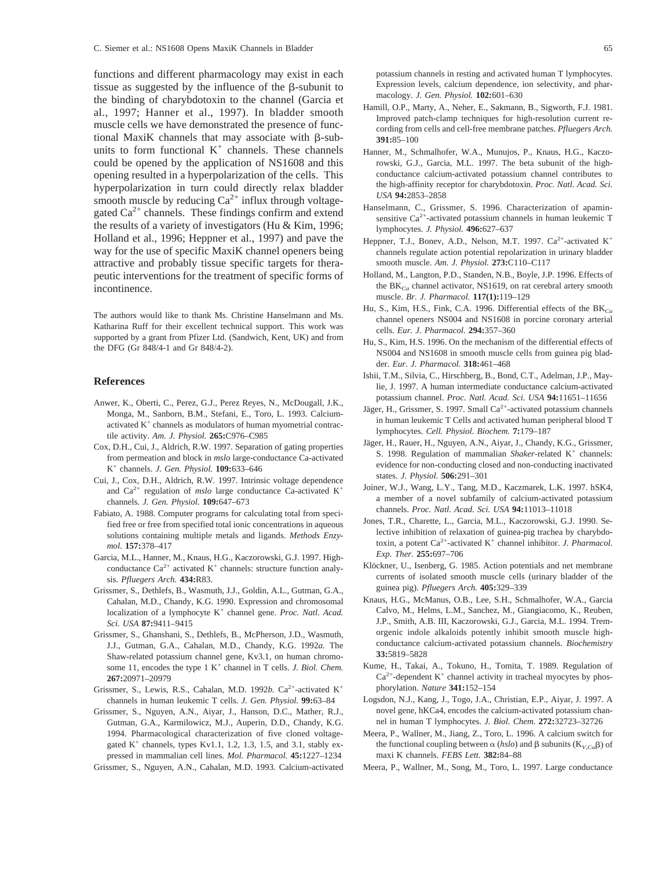functions and different pharmacology may exist in each tissue as suggested by the influence of the  $\beta$ -subunit to the binding of charybdotoxin to the channel (Garcia et al., 1997; Hanner et al., 1997). In bladder smooth muscle cells we have demonstrated the presence of functional MaxiK channels that may associate with  $\beta$ -subunits to form functional  $K^+$  channels. These channels could be opened by the application of NS1608 and this opening resulted in a hyperpolarization of the cells. This hyperpolarization in turn could directly relax bladder smooth muscle by reducing  $Ca^{2+}$  influx through voltagegated  $Ca^{2+}$  channels. These findings confirm and extend the results of a variety of investigators (Hu & Kim, 1996; Holland et al., 1996; Heppner et al., 1997) and pave the way for the use of specific MaxiK channel openers being attractive and probably tissue specific targets for therapeutic interventions for the treatment of specific forms of incontinence.

The authors would like to thank Ms. Christine Hanselmann and Ms. Katharina Ruff for their excellent technical support. This work was supported by a grant from Pfizer Ltd. (Sandwich, Kent, UK) and from the DFG (Gr 848/4-1 and Gr 848/4-2).

### **References**

- Anwer, K., Oberti, C., Perez, G.J., Perez Reyes, N., McDougall, J.K., Monga, M., Sanborn, B.M., Stefani, E., Toro, L. 1993. Calciumactivated  $K^+$  channels as modulators of human myometrial contractile activity. *Am. J. Physiol.* **265:**C976–C985
- Cox, D.H., Cui, J., Aldrich, R.W. 1997. Separation of gating properties from permeation and block in *mslo* large-conductance Ca-activated K+ channels. *J. Gen. Physiol.* **109:**633–646
- Cui, J., Cox, D.H., Aldrich, R.W. 1997. Intrinsic voltage dependence and  $Ca^{2+}$  regulation of *mslo* large conductance Ca-activated  $K^+$ channels. *J. Gen. Physiol.* **109:**647–673
- Fabiato, A. 1988. Computer programs for calculating total from specified free or free from specified total ionic concentrations in aqueous solutions containing multiple metals and ligands. *Methods Enzymol.* **157:**378–417
- Garcia, M.L., Hanner, M., Knaus, H.G., Kaczorowski, G.J. 1997. Highconductance  $Ca^{2+}$  activated  $K^+$  channels: structure function analysis. *Pfluegers Arch.* **434:**R83.
- Grissmer, S., Dethlefs, B., Wasmuth, J.J., Goldin, A.L., Gutman, G.A., Cahalan, M.D., Chandy, K.G. 1990. Expression and chromosomal localization of a lymphocyte K+ channel gene. *Proc. Natl. Acad. Sci. USA* **87:**9411–9415
- Grissmer, S., Ghanshani, S., Dethlefs, B., McPherson, J.D., Wasmuth, J.J., Gutman, G.A., Cahalan, M.D., Chandy, K.G. 1992*a.* The Shaw-related potassium channel gene, Kv3.1, on human chromosome 11, encodes the type 1 K<sup>+</sup> channel in T cells. *J. Biol. Chem.* **267:**20971–20979
- Grissmer, S., Lewis, R.S., Cahalan, M.D. 1992*b*. Ca<sup>2+</sup>-activated K<sup>+</sup> channels in human leukemic T cells. *J. Gen. Physiol.* **99:**63–84
- Grissmer, S., Nguyen, A.N., Aiyar, J., Hanson, D.C., Mather, R.J., Gutman, G.A., Karmilowicz, M.J., Auperin, D.D., Chandy, K.G. 1994. Pharmacological characterization of five cloned voltagegated  $K^+$  channels, types  $Kv1.1$ , 1.2, 1.3, 1.5, and 3.1, stably expressed in mammalian cell lines. *Mol. Pharmacol.* **45:**1227–1234
- Grissmer, S., Nguyen, A.N., Cahalan, M.D. 1993. Calcium-activated

potassium channels in resting and activated human T lymphocytes. Expression levels, calcium dependence, ion selectivity, and pharmacology. *J. Gen. Physiol.* **102:**601–630

- Hamill, O.P., Marty, A., Neher, E., Sakmann, B., Sigworth, F.J. 1981. Improved patch-clamp techniques for high-resolution current recording from cells and cell-free membrane patches. *Pfluegers Arch.* **391:**85–100
- Hanner, M., Schmalhofer, W.A., Munujos, P., Knaus, H.G., Kaczorowski, G.J., Garcia, M.L. 1997. The beta subunit of the highconductance calcium-activated potassium channel contributes to the high-affinity receptor for charybdotoxin. *Proc. Natl. Acad. Sci. USA* **94:**2853–2858
- Hanselmann, C., Grissmer, S. 1996. Characterization of apaminsensitive  $Ca^{2+}$ -activated potassium channels in human leukemic T lymphocytes. *J. Physiol.* **496:**627–637
- Heppner, T.J., Bonev, A.D., Nelson, M.T. 1997.  $Ca^{2+}$ -activated  $K^+$ channels regulate action potential repolarization in urinary bladder smooth muscle. *Am. J. Physiol.* **273:**C110–C117
- Holland, M., Langton, P.D., Standen, N.B., Boyle, J.P. 1996. Effects of the BK*Ca* channel activator, NS1619, on rat cerebral artery smooth muscle. *Br. J. Pharmacol.* **117(1):**119–129
- Hu, S., Kim, H.S., Fink, C.A. 1996. Differential effects of the BK*Ca* channel openers NS004 and NS1608 in porcine coronary arterial cells. *Eur. J. Pharmacol.* **294:**357–360
- Hu, S., Kim, H.S. 1996. On the mechanism of the differential effects of NS004 and NS1608 in smooth muscle cells from guinea pig bladder. *Eur. J. Pharmacol.* **318:**461–468
- Ishii, T.M., Silvia, C., Hirschberg, B., Bond, C.T., Adelman, J.P., Maylie, J. 1997. A human intermediate conductance calcium-activated potassium channel. *Proc. Natl. Acad. Sci. USA* **94:**11651–11656
- Jäger, H., Grissmer, S. 1997. Small  $Ca^{2+}$ -activated potassium channels in human leukemic T Cells and activated human peripheral blood T lymphocytes. *Cell. Physiol. Biochem.* **7:**179–187
- Jäger, H., Rauer, H., Nguyen, A.N., Aiyar, J., Chandy, K.G., Grissmer, S. 1998. Regulation of mammalian *Shaker*-related K<sup>+</sup> channels: evidence for non-conducting closed and non-conducting inactivated states. *J. Physiol.* **506:**291–301
- Joiner, W.J., Wang, L.Y., Tang, M.D., Kaczmarek, L.K. 1997. hSK4, a member of a novel subfamily of calcium-activated potassium channels. *Proc. Natl. Acad. Sci. USA* **94:**11013–11018
- Jones, T.R., Charette, L., Garcia, M.L., Kaczorowski, G.J. 1990. Selective inhibition of relaxation of guinea-pig trachea by charybdotoxin, a potent Ca2+-activated K+ channel inhibitor. *J. Pharmacol. Exp. Ther.* **255:**697–706
- Klöckner, U., Isenberg, G. 1985. Action potentials and net membrane currents of isolated smooth muscle cells (urinary bladder of the guinea pig). *Pfluegers Arch.* **405:**329–339
- Knaus, H.G., McManus, O.B., Lee, S.H., Schmalhofer, W.A., Garcia Calvo, M., Helms, L.M., Sanchez, M., Giangiacomo, K., Reuben, J.P., Smith, A.B. III, Kaczorowski, G.J., Garcia, M.L. 1994. Tremorgenic indole alkaloids potently inhibit smooth muscle highconductance calcium-activated potassium channels. *Biochemistry* **33:**5819–5828
- Kume, H., Takai, A., Tokuno, H., Tomita, T. 1989. Regulation of  $Ca<sup>2+</sup>$ -dependent K<sup>+</sup> channel activity in tracheal myocytes by phosphorylation. *Nature* **341:**152–154
- Logsdon, N.J., Kang, J., Togo, J.A., Christian, E.P., Aiyar, J. 1997. A novel gene, hKCa4, encodes the calcium-activated potassium channel in human T lymphocytes. *J. Biol. Chem.* **272:**32723–32726
- Meera, P., Wallner, M., Jiang, Z., Toro, L. 1996. A calcium switch for the functional coupling between  $\alpha$  (*hslo*) and  $\beta$  subunits (K<sub>*V* $_{Ca}$ </sub> $\beta$ ) of maxi K channels. *FEBS Lett.* **382:**84–88
- Meera, P., Wallner, M., Song, M., Toro, L. 1997. Large conductance